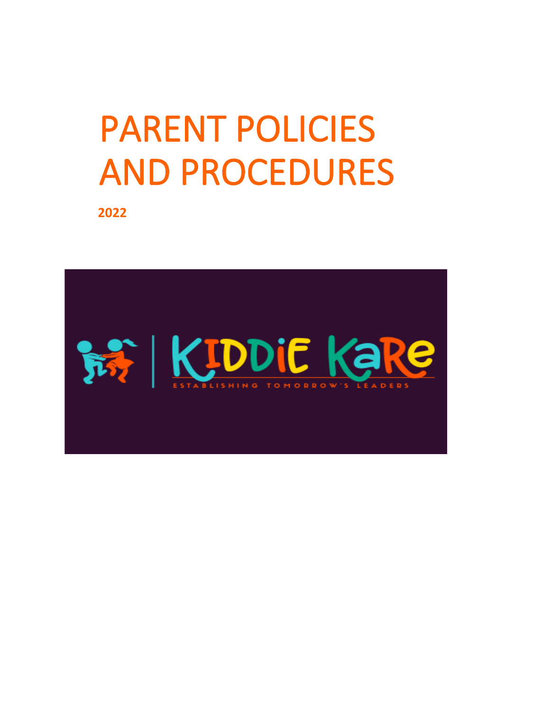# PARENT POLICIES AND PROCEDURES

**2022**

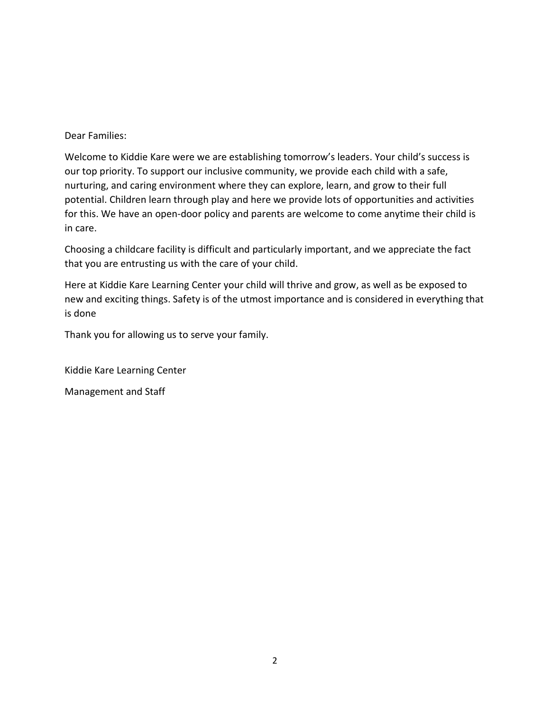# Dear Families:

Welcome to Kiddie Kare were we are establishing tomorrow's leaders. Your child's success is our top priority. To support our inclusive community, we provide each child with a safe, nurturing, and caring environment where they can explore, learn, and grow to their full potential. Children learn through play and here we provide lots of opportunities and activities for this. We have an open-door policy and parents are welcome to come anytime their child is in care.

Choosing a childcare facility is difficult and particularly important, and we appreciate the fact that you are entrusting us with the care of your child.

Here at Kiddie Kare Learning Center your child will thrive and grow, as well as be exposed to new and exciting things. Safety is of the utmost importance and is considered in everything that is done

Thank you for allowing us to serve your family.

Kiddie Kare Learning Center

Management and Staff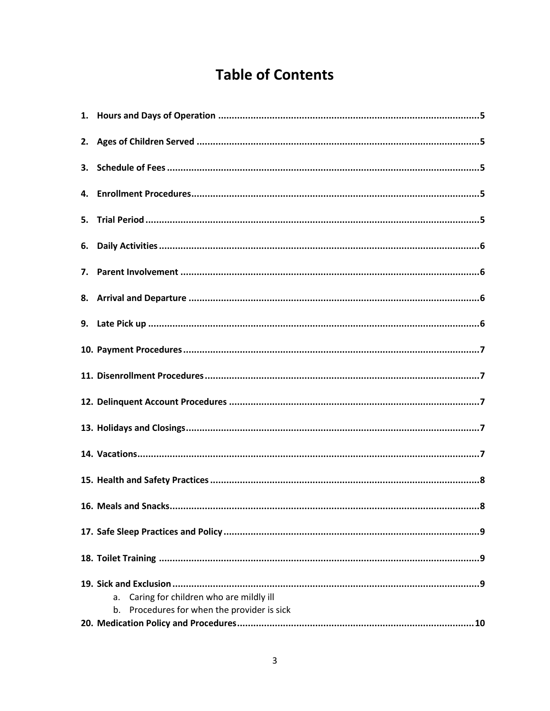# **Table of Contents**

| 6. |                                                |
|----|------------------------------------------------|
| 7. |                                                |
|    |                                                |
|    |                                                |
|    |                                                |
|    |                                                |
|    |                                                |
|    |                                                |
|    |                                                |
|    |                                                |
|    |                                                |
|    |                                                |
|    |                                                |
|    | Caring for children who are mildly ill<br>a.   |
|    |                                                |
|    | Procedures for when the provider is sick<br>b. |
|    |                                                |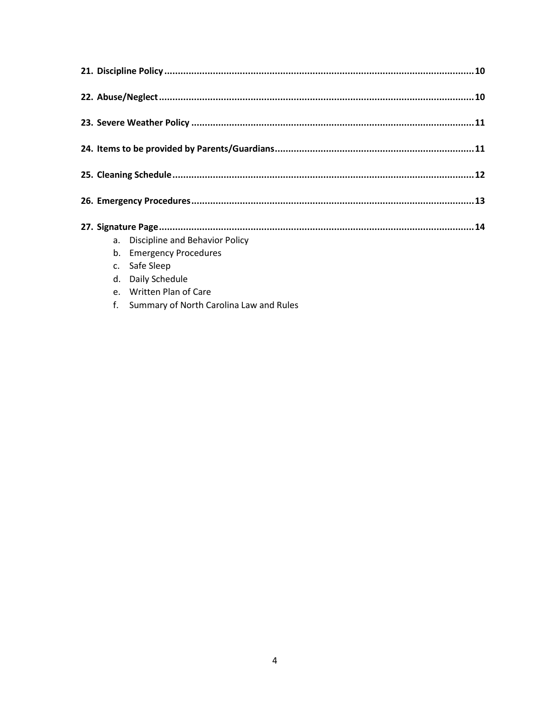|  | a. Discipline and Behavior Policy          |  |  |  |  |  |
|--|--------------------------------------------|--|--|--|--|--|
|  | b. Emergency Procedures                    |  |  |  |  |  |
|  | c. Safe Sleep                              |  |  |  |  |  |
|  | d. Daily Schedule                          |  |  |  |  |  |
|  | e. Written Plan of Care                    |  |  |  |  |  |
|  | f. Summary of North Carolina Law and Rules |  |  |  |  |  |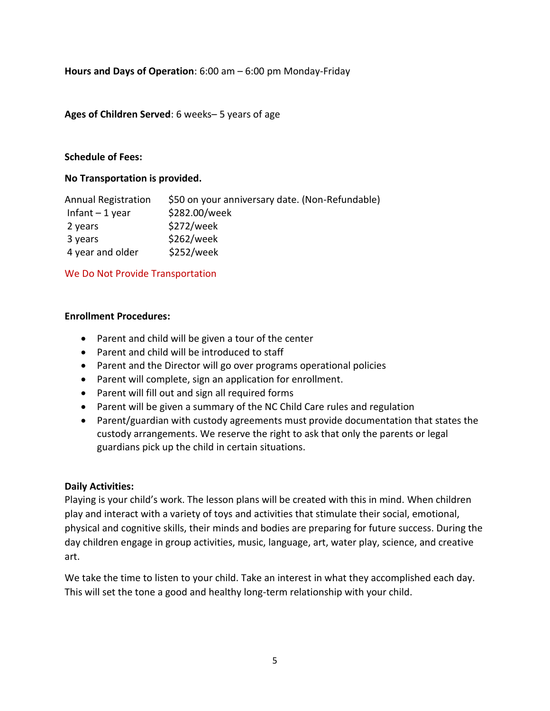**Hours and Days of Operation**: 6:00 am – 6:00 pm Monday-Friday

**Ages of Children Served**: 6 weeks– 5 years of age

# **Schedule of Fees:**

# **No Transportation is provided.**

| <b>Annual Registration</b> | \$50 on your anniversary date. (Non-Refundable) |
|----------------------------|-------------------------------------------------|
| Infant $-1$ year           | \$282.00/week                                   |
| 2 years                    | \$272/week                                      |
| 3 years                    | \$262/week                                      |
| 4 year and older           | \$252/week                                      |

# We Do Not Provide Transportation

### **Enrollment Procedures:**

- Parent and child will be given a tour of the center
- Parent and child will be introduced to staff
- Parent and the Director will go over programs operational policies
- Parent will complete, sign an application for enrollment.
- Parent will fill out and sign all required forms
- Parent will be given a summary of the NC Child Care rules and regulation
- Parent/guardian with custody agreements must provide documentation that states the custody arrangements. We reserve the right to ask that only the parents or legal guardians pick up the child in certain situations.

### **Daily Activities:**

Playing is your child's work. The lesson plans will be created with this in mind. When children play and interact with a variety of toys and activities that stimulate their social, emotional, physical and cognitive skills, their minds and bodies are preparing for future success. During the day children engage in group activities, music, language, art, water play, science, and creative art.

We take the time to listen to your child. Take an interest in what they accomplished each day. This will set the tone a good and healthy long-term relationship with your child.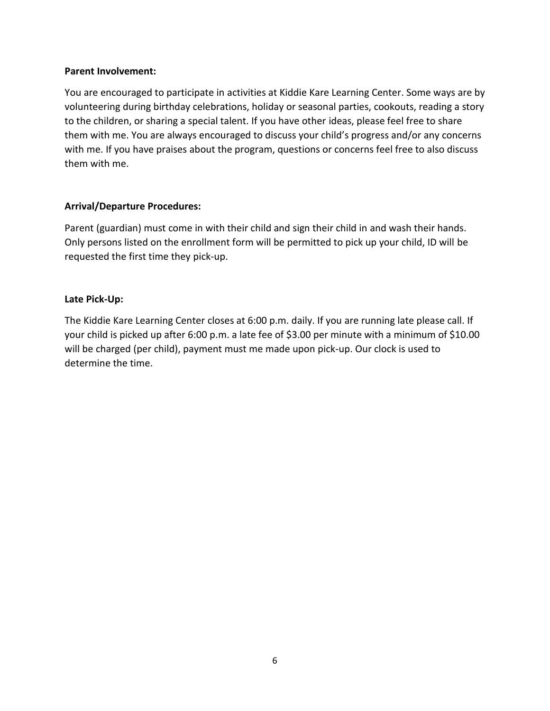# **Parent Involvement:**

You are encouraged to participate in activities at Kiddie Kare Learning Center. Some ways are by volunteering during birthday celebrations, holiday or seasonal parties, cookouts, reading a story to the children, or sharing a special talent. If you have other ideas, please feel free to share them with me. You are always encouraged to discuss your child's progress and/or any concerns with me. If you have praises about the program, questions or concerns feel free to also discuss them with me.

# **Arrival/Departure Procedures:**

Parent (guardian) must come in with their child and sign their child in and wash their hands. Only persons listed on the enrollment form will be permitted to pick up your child, ID will be requested the first time they pick-up.

# **Late Pick-Up:**

The Kiddie Kare Learning Center closes at 6:00 p.m. daily. If you are running late please call. If your child is picked up after 6:00 p.m. a late fee of \$3.00 per minute with a minimum of \$10.00 will be charged (per child), payment must me made upon pick-up. Our clock is used to determine the time.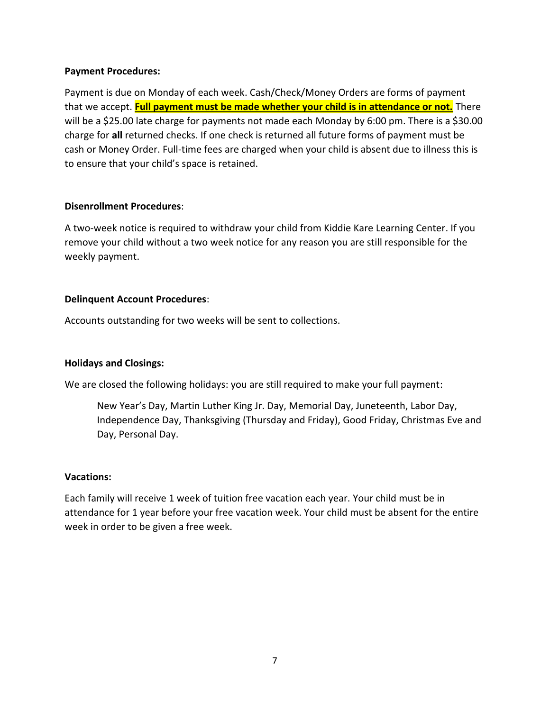#### **Payment Procedures:**

Payment is due on Monday of each week. Cash/Check/Money Orders are forms of payment that we accept. **Full payment must be made whether your child is in attendance or not.** There will be a \$25.00 late charge for payments not made each Monday by 6:00 pm. There is a \$30.00 charge for **all** returned checks. If one check is returned all future forms of payment must be cash or Money Order. Full-time fees are charged when your child is absent due to illness this is to ensure that your child's space is retained.

### **Disenrollment Procedures**:

A two-week notice is required to withdraw your child from Kiddie Kare Learning Center. If you remove your child without a two week notice for any reason you are still responsible for the weekly payment.

### **Delinquent Account Procedures**:

Accounts outstanding for two weeks will be sent to collections.

### **Holidays and Closings:**

We are closed the following holidays: you are still required to make your full payment:

New Year's Day, Martin Luther King Jr. Day, Memorial Day, Juneteenth, Labor Day, Independence Day, Thanksgiving (Thursday and Friday), Good Friday, Christmas Eve and Day, Personal Day.

### **Vacations:**

Each family will receive 1 week of tuition free vacation each year. Your child must be in attendance for 1 year before your free vacation week. Your child must be absent for the entire week in order to be given a free week.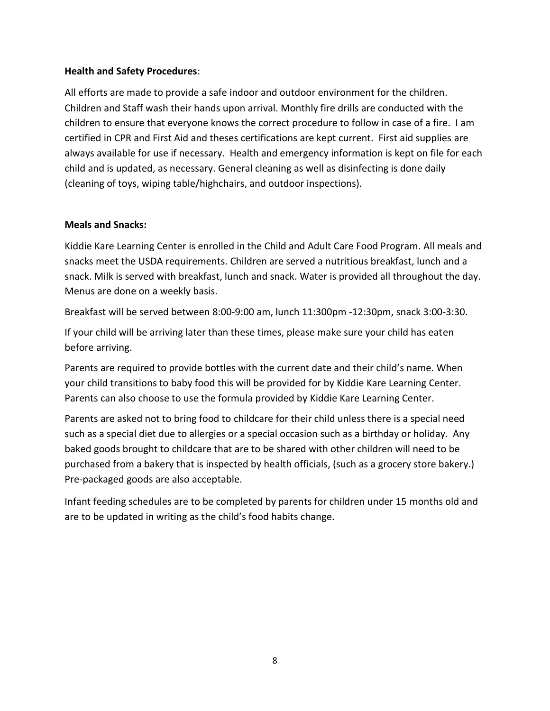# **Health and Safety Procedures**:

All efforts are made to provide a safe indoor and outdoor environment for the children. Children and Staff wash their hands upon arrival. Monthly fire drills are conducted with the children to ensure that everyone knows the correct procedure to follow in case of a fire. I am certified in CPR and First Aid and theses certifications are kept current. First aid supplies are always available for use if necessary. Health and emergency information is kept on file for each child and is updated, as necessary. General cleaning as well as disinfecting is done daily (cleaning of toys, wiping table/highchairs, and outdoor inspections).

# **Meals and Snacks:**

Kiddie Kare Learning Center is enrolled in the Child and Adult Care Food Program. All meals and snacks meet the USDA requirements. Children are served a nutritious breakfast, lunch and a snack. Milk is served with breakfast, lunch and snack. Water is provided all throughout the day. Menus are done on a weekly basis.

Breakfast will be served between 8:00-9:00 am, lunch 11:300pm -12:30pm, snack 3:00-3:30.

If your child will be arriving later than these times, please make sure your child has eaten before arriving.

Parents are required to provide bottles with the current date and their child's name. When your child transitions to baby food this will be provided for by Kiddie Kare Learning Center. Parents can also choose to use the formula provided by Kiddie Kare Learning Center.

Parents are asked not to bring food to childcare for their child unless there is a special need such as a special diet due to allergies or a special occasion such as a birthday or holiday. Any baked goods brought to childcare that are to be shared with other children will need to be purchased from a bakery that is inspected by health officials, (such as a grocery store bakery.) Pre-packaged goods are also acceptable*.*

Infant feeding schedules are to be completed by parents for children under 15 months old and are to be updated in writing as the child's food habits change.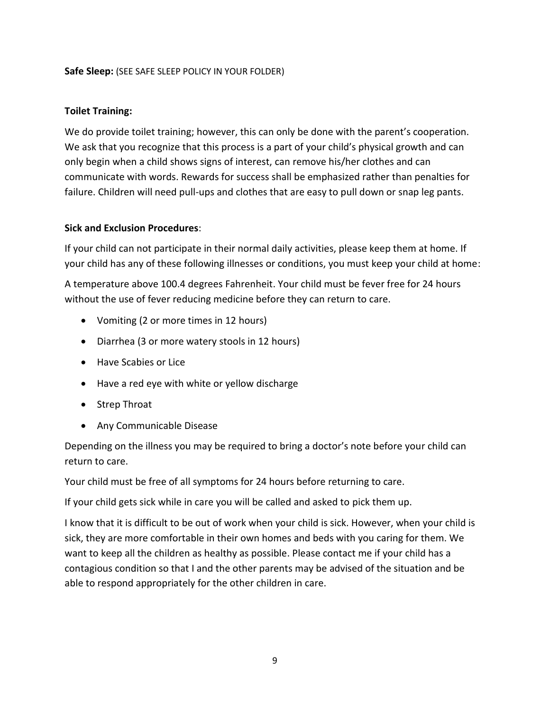#### **Safe Sleep:** (SEE SAFE SLEEP POLICY IN YOUR FOLDER)

# **Toilet Training:**

We do provide toilet training; however, this can only be done with the parent's cooperation. We ask that you recognize that this process is a part of your child's physical growth and can only begin when a child shows signs of interest, can remove his/her clothes and can communicate with words. Rewards for success shall be emphasized rather than penalties for failure. Children will need pull-ups and clothes that are easy to pull down or snap leg pants.

### **Sick and Exclusion Procedures**:

If your child can not participate in their normal daily activities, please keep them at home. If your child has any of these following illnesses or conditions, you must keep your child at home:

A temperature above 100.4 degrees Fahrenheit. Your child must be fever free for 24 hours without the use of fever reducing medicine before they can return to care.

- Vomiting (2 or more times in 12 hours)
- Diarrhea (3 or more watery stools in 12 hours)
- Have Scabies or Lice
- Have a red eye with white or yellow discharge
- Strep Throat
- Any Communicable Disease

Depending on the illness you may be required to bring a doctor's note before your child can return to care.

Your child must be free of all symptoms for 24 hours before returning to care.

If your child gets sick while in care you will be called and asked to pick them up.

I know that it is difficult to be out of work when your child is sick. However, when your child is sick, they are more comfortable in their own homes and beds with you caring for them. We want to keep all the children as healthy as possible. Please contact me if your child has a contagious condition so that I and the other parents may be advised of the situation and be able to respond appropriately for the other children in care.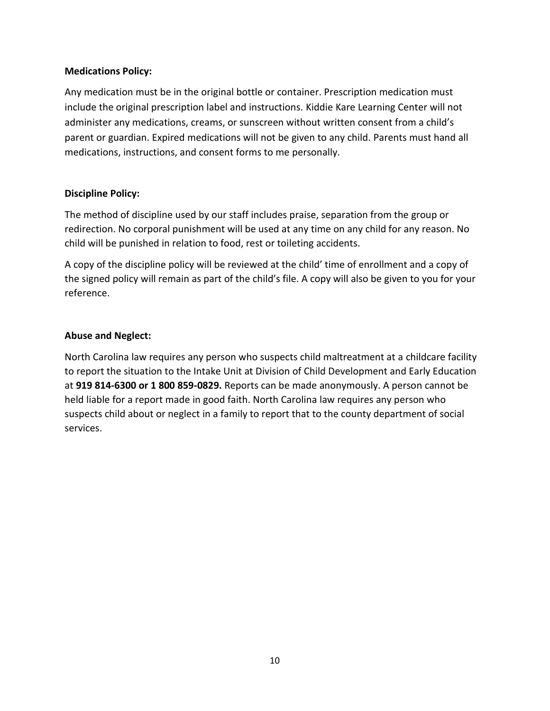# **Medications Policy:**

Any medication must be in the original bottle or container. Prescription medication must include the original prescription label and instructions. Kiddie Kare Learning Center will not administer any medications, creams, or sunscreen without written consent from a child's parent or guardian. Expired medications will not be given to any child. Parents must hand all medications, instructions, and consent forms to me personally.

# **Discipline Policy:**

The method of discipline used by our staff includes praise, separation from the group or redirection. No corporal punishment will be used at any time on any child for any reason. No child will be punished in relation to food, rest or toileting accidents.

A copy of the discipline policy will be reviewed at the child' time of enrollment and a copy of the signed policy will remain as part of the child's file. A copy will also be given to you for your reference.

# **Abuse and Neglect:**

North Carolina law requires any person who suspects child maltreatment at a childcare facility to report the situation to the Intake Unit at Division of Child Development and Early Education at **919 814-6300 or 1 800 859-0829.** Reports can be made anonymously. A person cannot be held liable for a report made in good faith. North Carolina law requires any person who suspects child about or neglect in a family to report that to the county department of social services.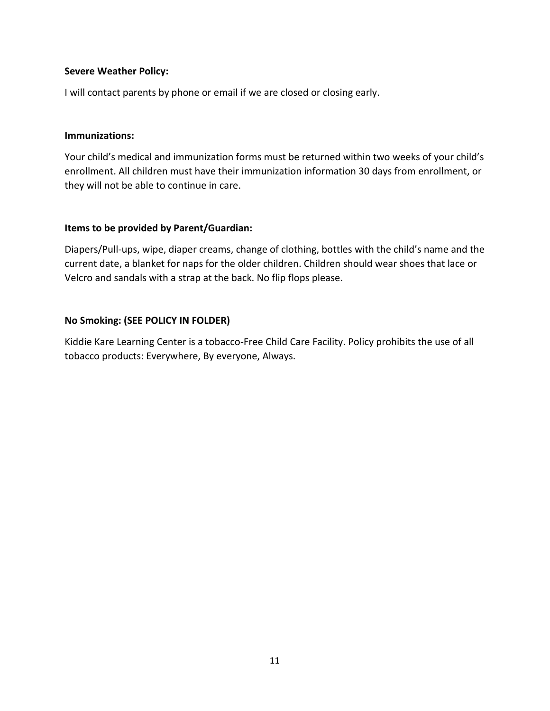# **Severe Weather Policy:**

I will contact parents by phone or email if we are closed or closing early.

#### **Immunizations:**

Your child's medical and immunization forms must be returned within two weeks of your child's enrollment. All children must have their immunization information 30 days from enrollment, or they will not be able to continue in care.

### **Items to be provided by Parent/Guardian:**

Diapers/Pull-ups, wipe, diaper creams, change of clothing, bottles with the child's name and the current date, a blanket for naps for the older children. Children should wear shoes that lace or Velcro and sandals with a strap at the back. No flip flops please.

### **No Smoking: (SEE POLICY IN FOLDER)**

Kiddie Kare Learning Center is a tobacco-Free Child Care Facility. Policy prohibits the use of all tobacco products: Everywhere, By everyone, Always.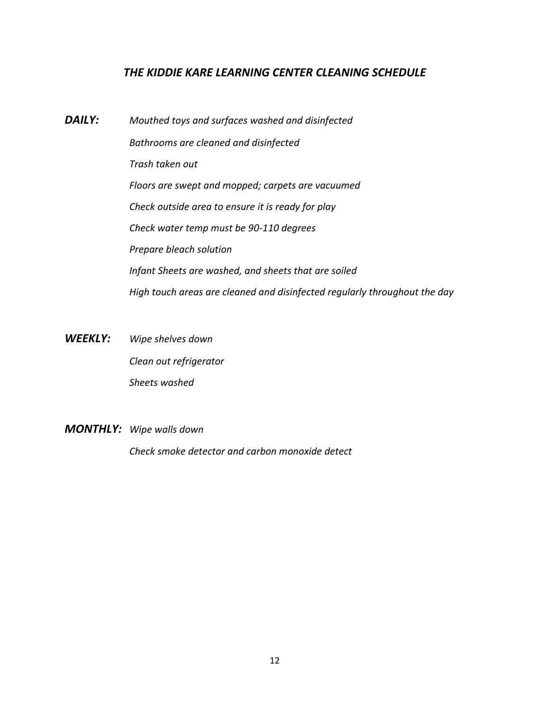# *THE KIDDIE KARE LEARNING CENTER CLEANING SCHEDULE*

*DAILY: Mouthed toys and surfaces washed and disinfected Bathrooms are cleaned and disinfected Trash taken out Floors are swept and mopped; carpets are vacuumed Check outside area to ensure it is ready for play Check water temp must be 90-110 degrees Prepare bleach solution Infant Sheets are washed, and sheets that are soiled High touch areas are cleaned and disinfected regularly throughout the day*

*WEEKLY: Wipe shelves down Clean out refrigerator Sheets washed*

#### *MONTHLY: Wipe walls down*

*Check smoke detector and carbon monoxide detect*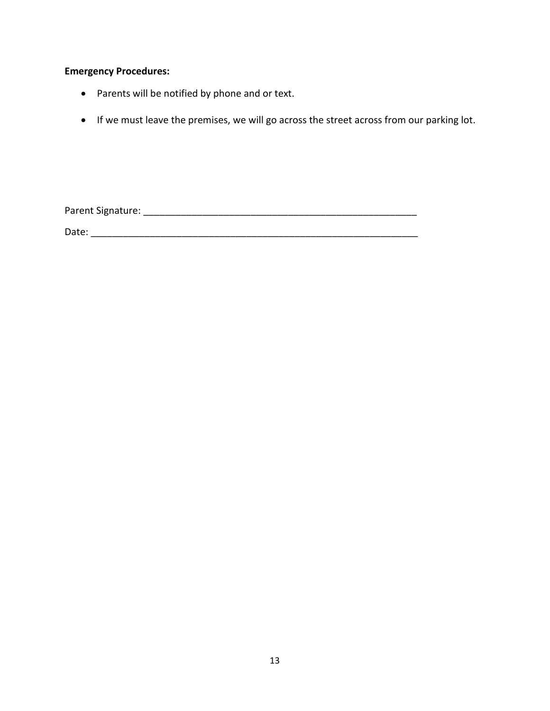# **Emergency Procedures:**

- Parents will be notified by phone and or text.
- If we must leave the premises, we will go across the street across from our parking lot.

Parent Signature: \_\_\_\_\_\_\_\_\_\_\_\_\_\_\_\_\_\_\_\_\_\_\_\_\_\_\_\_\_\_\_\_\_\_\_\_\_\_\_\_\_\_\_\_\_\_\_\_\_\_\_

Date:  $\Box$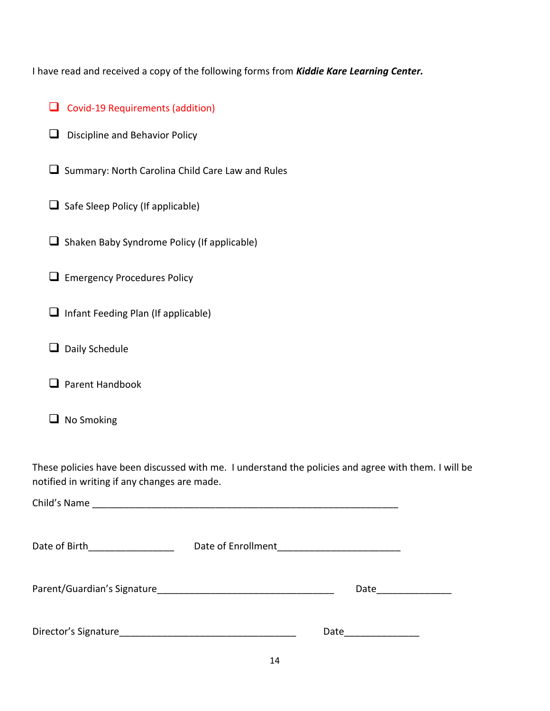I have read and received a copy of the following forms from *Kiddie Kare Learning Center.*

| <b>Covid-19 Requirements (addition)</b>                                                                                                              |                       |  |
|------------------------------------------------------------------------------------------------------------------------------------------------------|-----------------------|--|
| Discipline and Behavior Policy                                                                                                                       |                       |  |
| Summary: North Carolina Child Care Law and Rules                                                                                                     |                       |  |
| $\Box$ Safe Sleep Policy (If applicable)                                                                                                             |                       |  |
| Shaken Baby Syndrome Policy (If applicable)                                                                                                          |                       |  |
| <b>Emergency Procedures Policy</b>                                                                                                                   |                       |  |
| Infant Feeding Plan (If applicable)<br>⊔                                                                                                             |                       |  |
| Daily Schedule                                                                                                                                       |                       |  |
| Parent Handbook<br>$\Box$                                                                                                                            |                       |  |
| No Smoking                                                                                                                                           |                       |  |
| These policies have been discussed with me. I understand the policies and agree with them. I will be<br>notified in writing if any changes are made. |                       |  |
| Date of Birth_______________________  Date of Enrollment________________________                                                                     |                       |  |
|                                                                                                                                                      | Date_________________ |  |
|                                                                                                                                                      |                       |  |